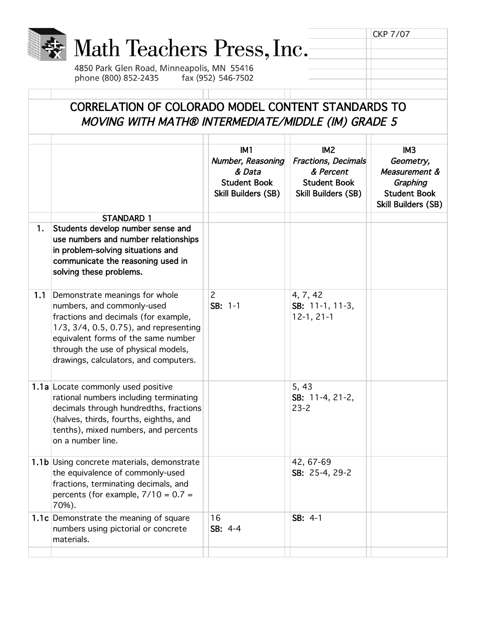|     | Math Teachers Press, Inc.<br>4850 Park Glen Road, Minneapolis, MN 55416<br>phone (800) 852-2435                                                                                                                                                                       | fax (952) 546-7502                                                                           |                                                                                                          | <b>CKP 7/07</b>                                                                                                |
|-----|-----------------------------------------------------------------------------------------------------------------------------------------------------------------------------------------------------------------------------------------------------------------------|----------------------------------------------------------------------------------------------|----------------------------------------------------------------------------------------------------------|----------------------------------------------------------------------------------------------------------------|
|     | CORRELATION OF COLORADO MODEL CONTENT STANDARDS TO<br>MOVING WITH MATH® INTERMEDIATE/MIDDLE (IM) GRADE 5                                                                                                                                                              |                                                                                              |                                                                                                          |                                                                                                                |
|     |                                                                                                                                                                                                                                                                       | IM <sub>1</sub><br>Number, Reasoning<br>& Data<br><b>Student Book</b><br>Skill Builders (SB) | IM <sub>2</sub><br>Fractions, Decimals<br>& Percent<br><b>Student Book</b><br><b>Skill Builders (SB)</b> | IM <sub>3</sub><br>Geometry,<br>Measurement &<br>Graphing<br><b>Student Book</b><br><b>Skill Builders (SB)</b> |
| 1.  | <b>STANDARD 1</b><br>Students develop number sense and<br>use numbers and number relationships<br>in problem-solving situations and<br>communicate the reasoning used in<br>solving these problems.                                                                   |                                                                                              |                                                                                                          |                                                                                                                |
| 1.1 | Demonstrate meanings for whole<br>numbers, and commonly-used<br>fractions and decimals (for example,<br>1/3, 3/4, 0.5, 0.75), and representing<br>equivalent forms of the same number<br>through the use of physical models,<br>drawings, calculators, and computers. | $\overline{2}$<br>$SB: 1-1$                                                                  | 4, 7, 42<br>SB: 11-1, 11-3,<br>$12-1, 21-1$                                                              |                                                                                                                |
|     | 1.1a Locate commonly used positive<br>rational numbers including terminating<br>decimals through hundredths, fractions<br>(halves, thirds, fourths, eighths, and<br>tenths), mixed numbers, and percents<br>on a number line.                                         |                                                                                              | 5, 43<br>SB: 11-4, 21-2,<br>$23 - 2$                                                                     |                                                                                                                |
|     | 1.1b Using concrete materials, demonstrate<br>the equivalence of commonly-used<br>fractions, terminating decimals, and<br>percents (for example, $7/10 = 0.7 =$<br>70%).                                                                                              |                                                                                              | 42, 67-69<br>SB: 25-4, 29-2                                                                              |                                                                                                                |
|     | 1.1c Demonstrate the meaning of square<br>numbers using pictorial or concrete<br>materials.                                                                                                                                                                           | 16<br>$SB: 4-4$                                                                              | SB: 4-1                                                                                                  |                                                                                                                |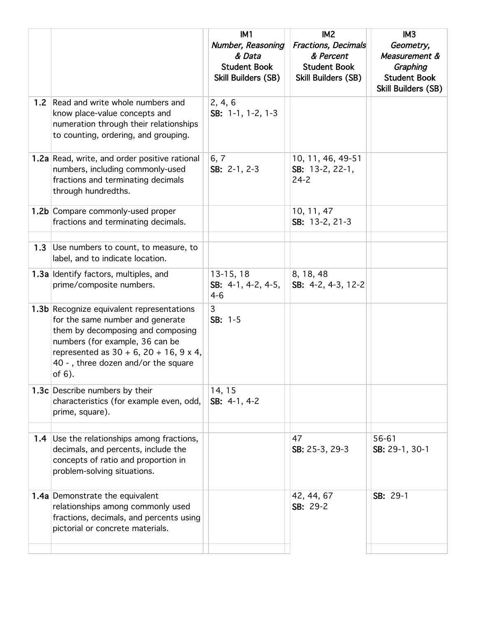|                  |                                                                                                                                                                                                                                                                   | IM1<br>Number, Reasoning<br>& Data<br><b>Student Book</b><br>Skill Builders (SB) | IM <sub>2</sub><br>Fractions, Decimals<br>& Percent<br><b>Student Book</b><br><b>Skill Builders (SB)</b> | IM <sub>3</sub><br>Geometry,<br>Measurement &<br>Graphing<br><b>Student Book</b><br>Skill Builders (SB) |
|------------------|-------------------------------------------------------------------------------------------------------------------------------------------------------------------------------------------------------------------------------------------------------------------|----------------------------------------------------------------------------------|----------------------------------------------------------------------------------------------------------|---------------------------------------------------------------------------------------------------------|
| 1.2 <sub>2</sub> | Read and write whole numbers and<br>know place-value concepts and<br>numeration through their relationships<br>to counting, ordering, and grouping.                                                                                                               | 2, 4, 6<br>SB: 1-1, 1-2, 1-3                                                     |                                                                                                          |                                                                                                         |
|                  | 1.2a Read, write, and order positive rational<br>numbers, including commonly-used<br>fractions and terminating decimals<br>through hundredths.                                                                                                                    | 6, 7<br>SB: $2-1$ , $2-3$                                                        | 10, 11, 46, 49-51<br>SB: $13-2, 22-1,$<br>$24 - 2$                                                       |                                                                                                         |
|                  | 1.2b Compare commonly-used proper<br>fractions and terminating decimals.                                                                                                                                                                                          |                                                                                  | 10, 11, 47<br>SB: 13-2, 21-3                                                                             |                                                                                                         |
| 1.3              | Use numbers to count, to measure, to<br>label, and to indicate location.                                                                                                                                                                                          |                                                                                  |                                                                                                          |                                                                                                         |
|                  | 1.3a Identify factors, multiples, and<br>prime/composite numbers.                                                                                                                                                                                                 | $13-15, 18$<br>SB: $4-1$ , $4-2$ , $4-5$ ,<br>$4 - 6$                            | 8, 18, 48<br>SB: 4-2, 4-3, 12-2                                                                          |                                                                                                         |
|                  | 1.3b Recognize equivalent representations<br>for the same number and generate<br>them by decomposing and composing<br>numbers (for example, 36 can be<br>represented as $30 + 6$ , $20 + 16$ , $9 \times 4$ ,<br>40 -, three dozen and/or the square<br>of $6$ ). | 3<br>$SB: 1-5$                                                                   |                                                                                                          |                                                                                                         |
|                  | 1.3c Describe numbers by their<br>characteristics (for example even, odd,<br>prime, square).                                                                                                                                                                      | 14, 15<br>SB: 4-1, 4-2                                                           |                                                                                                          |                                                                                                         |
|                  | 1.4 Use the relationships among fractions,                                                                                                                                                                                                                        |                                                                                  | 47                                                                                                       | 56-61                                                                                                   |
|                  | decimals, and percents, include the<br>concepts of ratio and proportion in<br>problem-solving situations.                                                                                                                                                         |                                                                                  | SB: 25-3, 29-3                                                                                           | SB: 29-1, 30-1                                                                                          |
|                  | 1.4a Demonstrate the equivalent<br>relationships among commonly used<br>fractions, decimals, and percents using<br>pictorial or concrete materials.                                                                                                               |                                                                                  | 42, 44, 67<br>SB: 29-2                                                                                   | SB: 29-1                                                                                                |
|                  |                                                                                                                                                                                                                                                                   |                                                                                  |                                                                                                          |                                                                                                         |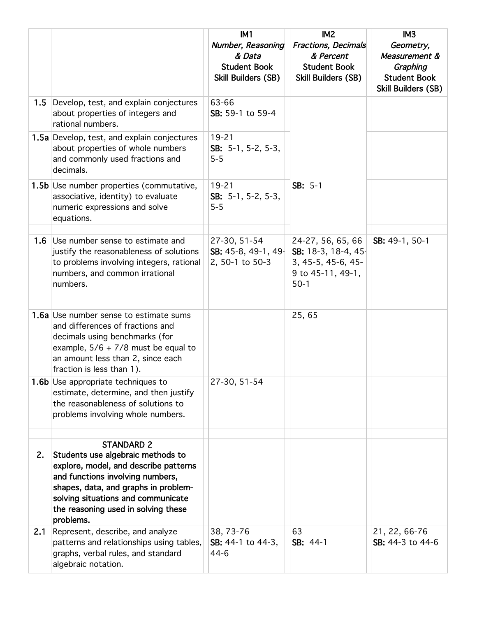|     |                                                                                                                                                                                                                                                  | IM <sub>1</sub>                                                           | IM <sub>2</sub>                                                                               | IM <sub>3</sub>                                                                      |
|-----|--------------------------------------------------------------------------------------------------------------------------------------------------------------------------------------------------------------------------------------------------|---------------------------------------------------------------------------|-----------------------------------------------------------------------------------------------|--------------------------------------------------------------------------------------|
|     |                                                                                                                                                                                                                                                  | Number, Reasoning<br>& Data<br><b>Student Book</b><br>Skill Builders (SB) | <b>Fractions, Decimals</b><br>& Percent<br><b>Student Book</b><br>Skill Builders (SB)         | Geometry,<br>Measurement &<br>Graphing<br><b>Student Book</b><br>Skill Builders (SB) |
| 1.5 | Develop, test, and explain conjectures<br>about properties of integers and<br>rational numbers.                                                                                                                                                  | 63-66<br>SB: 59-1 to 59-4                                                 |                                                                                               |                                                                                      |
|     | 1.5a Develop, test, and explain conjectures<br>about properties of whole numbers<br>and commonly used fractions and<br>decimals.                                                                                                                 | $19 - 21$<br>SB: $5-1$ , $5-2$ , $5-3$ ,<br>$5 - 5$                       |                                                                                               |                                                                                      |
|     | 1.5b Use number properties (commutative,<br>associative, identity) to evaluate<br>numeric expressions and solve<br>equations.                                                                                                                    | $19 - 21$<br>SB: $5-1$ , $5-2$ , $5-3$ ,<br>$5 - 5$                       | SB: 5-1                                                                                       |                                                                                      |
| 1.6 | Use number sense to estimate and<br>justify the reasonableness of solutions<br>to problems involving integers, rational<br>numbers, and common irrational<br>numbers.                                                                            | 27-30, 51-54<br>SB: 45-8, 49-1, 49-<br>2, 50-1 to 50-3                    | 24-27, 56, 65, 66<br>SB: 18-3, 18-4, 45-<br>3, 45-5, 45-6, 45-<br>9 to 45-11, 49-1,<br>$50-1$ | SB: 49-1, 50-1                                                                       |
|     | 1.6a Use number sense to estimate sums<br>and differences of fractions and<br>decimals using benchmarks (for<br>example, $5/6 + 7/8$ must be equal to<br>an amount less than 2, since each<br>fraction is less than 1).                          |                                                                           | 25,65                                                                                         |                                                                                      |
|     | <b>1.6b</b> Use appropriate techniques to<br>estimate, determine, and then justify<br>the reasonableness of solutions to<br>problems involving whole numbers.                                                                                    | 27-30, 51-54                                                              |                                                                                               |                                                                                      |
|     | <b>STANDARD 2</b>                                                                                                                                                                                                                                |                                                                           |                                                                                               |                                                                                      |
| 2.  | Students use algebraic methods to<br>explore, model, and describe patterns<br>and functions involving numbers,<br>shapes, data, and graphs in problem-<br>solving situations and communicate<br>the reasoning used in solving these<br>problems. |                                                                           |                                                                                               |                                                                                      |
| 2.1 | Represent, describe, and analyze<br>patterns and relationships using tables,<br>graphs, verbal rules, and standard<br>algebraic notation.                                                                                                        | 38, 73-76<br>SB: 44-1 to 44-3,<br>44-6                                    | 63<br>SB: 44-1                                                                                | 21, 22, 66-76<br>SB: 44-3 to 44-6                                                    |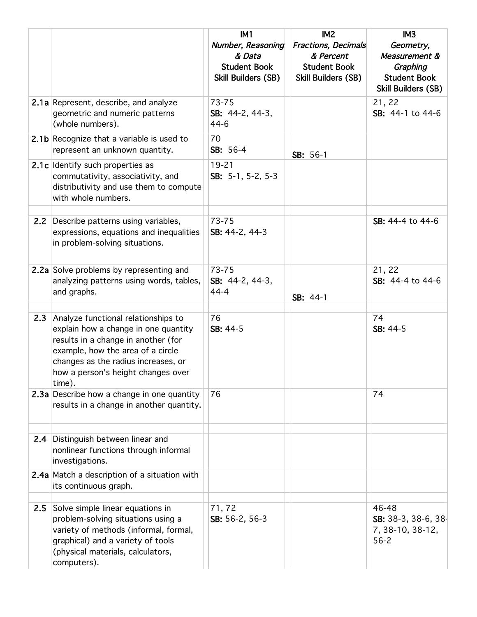|               |                                                                                                                                                                                                                                                | IM1<br>Number, Reasoning<br>& Data<br><b>Student Book</b><br><b>Skill Builders (SB)</b> | IM <sub>2</sub><br><b>Fractions, Decimals</b><br>& Percent<br><b>Student Book</b><br><b>Skill Builders (SB)</b> | IM <sub>3</sub><br>Geometry,<br>Measurement &<br>Graphing<br><b>Student Book</b><br>Skill Builders (SB) |
|---------------|------------------------------------------------------------------------------------------------------------------------------------------------------------------------------------------------------------------------------------------------|-----------------------------------------------------------------------------------------|-----------------------------------------------------------------------------------------------------------------|---------------------------------------------------------------------------------------------------------|
|               | 2.1a Represent, describe, and analyze<br>geometric and numeric patterns<br>(whole numbers).                                                                                                                                                    | 73-75<br>SB: 44-2, 44-3,<br>$44 - 6$                                                    |                                                                                                                 | 21, 22<br>SB: 44-1 to 44-6                                                                              |
|               | 2.1b Recognize that a variable is used to<br>represent an unknown quantity.                                                                                                                                                                    | 70<br>SB: 56-4                                                                          | SB: 56-1                                                                                                        |                                                                                                         |
|               | 2.1c Identify such properties as<br>commutativity, associativity, and<br>distributivity and use them to compute<br>with whole numbers.                                                                                                         | $19 - 21$<br>SB: $5-1$ , $5-2$ , $5-3$                                                  |                                                                                                                 |                                                                                                         |
| $2.2^{\circ}$ | Describe patterns using variables,<br>expressions, equations and inequalities<br>in problem-solving situations.                                                                                                                                | $73 - 75$<br>SB: 44-2, 44-3                                                             |                                                                                                                 | SB: 44-4 to 44-6                                                                                        |
|               | 2.2a Solve problems by representing and<br>analyzing patterns using words, tables,<br>and graphs.                                                                                                                                              | $73 - 75$<br>SB: 44-2, 44-3,<br>$44 - 4$                                                | SB: 44-1                                                                                                        | 21, 22<br>SB: 44-4 to 44-6                                                                              |
| 2.3           | Analyze functional relationships to<br>explain how a change in one quantity<br>results in a change in another (for<br>example, how the area of a circle<br>changes as the radius increases, or<br>how a person's height changes over<br>time). | 76<br>SB: 44-5                                                                          |                                                                                                                 | 74<br>SB: 44-5                                                                                          |
|               | 2.3a Describe how a change in one quantity<br>results in a change in another quantity.                                                                                                                                                         | 76                                                                                      |                                                                                                                 | 74                                                                                                      |
|               | 2.4 Distinguish between linear and<br>nonlinear functions through informal<br>investigations.                                                                                                                                                  |                                                                                         |                                                                                                                 |                                                                                                         |
|               | 2.4a Match a description of a situation with<br>its continuous graph.                                                                                                                                                                          |                                                                                         |                                                                                                                 |                                                                                                         |
| 2.5           | Solve simple linear equations in<br>problem-solving situations using a<br>variety of methods (informal, formal,<br>graphical) and a variety of tools<br>(physical materials, calculators,<br>computers).                                       | 71,72<br>SB: 56-2, 56-3                                                                 |                                                                                                                 | 46-48<br>SB: 38-3, 38-6, 38-<br>7, 38-10, 38-12,<br>$56 - 2$                                            |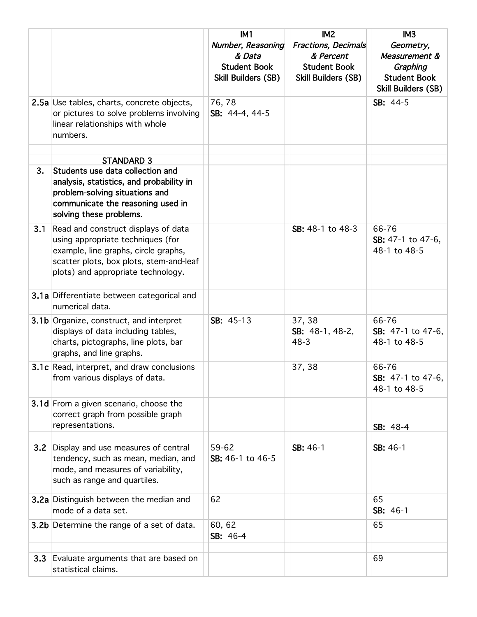|     |                                                   | IM <sub>1</sub>            | IM <sub>2</sub>            | IM <sub>3</sub>     |
|-----|---------------------------------------------------|----------------------------|----------------------------|---------------------|
|     |                                                   | Number, Reasoning          | <b>Fractions, Decimals</b> | Geometry,           |
|     |                                                   | & Data                     | & Percent                  | Measurement &       |
|     |                                                   | <b>Student Book</b>        | <b>Student Book</b>        | Graphing            |
|     |                                                   | <b>Skill Builders (SB)</b> | Skill Builders (SB)        | <b>Student Book</b> |
|     |                                                   |                            |                            | Skill Builders (SB) |
|     | 2.5a Use tables, charts, concrete objects,        | 76,78                      |                            | SB: 44-5            |
|     | or pictures to solve problems involving           | SB: 44-4, 44-5             |                            |                     |
|     | linear relationships with whole                   |                            |                            |                     |
|     | numbers.                                          |                            |                            |                     |
|     |                                                   |                            |                            |                     |
|     | <b>STANDARD 3</b>                                 |                            |                            |                     |
| 3.  | Students use data collection and                  |                            |                            |                     |
|     | analysis, statistics, and probability in          |                            |                            |                     |
|     | problem-solving situations and                    |                            |                            |                     |
|     | communicate the reasoning used in                 |                            |                            |                     |
|     |                                                   |                            |                            |                     |
|     | solving these problems.                           |                            |                            |                     |
| 3.1 | Read and construct displays of data               |                            | SB: 48-1 to 48-3           | 66-76               |
|     | using appropriate techniques (for                 |                            |                            | SB: 47-1 to 47-6,   |
|     | example, line graphs, circle graphs,              |                            |                            | 48-1 to 48-5        |
|     | scatter plots, box plots, stem-and-leaf           |                            |                            |                     |
|     | plots) and appropriate technology.                |                            |                            |                     |
|     |                                                   |                            |                            |                     |
|     | 3.1a Differentiate between categorical and        |                            |                            |                     |
|     | numerical data.                                   |                            |                            |                     |
|     | 3.1b Organize, construct, and interpret           | SB: 45-13                  | 37, 38                     | 66-76               |
|     | displays of data including tables,                |                            | SB: 48-1, 48-2,            | SB: 47-1 to 47-6,   |
|     | charts, pictographs, line plots, bar              |                            | $48 - 3$                   | 48-1 to 48-5        |
|     | graphs, and line graphs.                          |                            |                            |                     |
|     | <b>3.1c</b> Read, interpret, and draw conclusions |                            | 37, 38                     | 66-76               |
|     | from various displays of data.                    |                            |                            | SB: 47-1 to 47-6,   |
|     |                                                   |                            |                            | 48-1 to 48-5        |
|     |                                                   |                            |                            |                     |
|     | 3.1d From a given scenario, choose the            |                            |                            |                     |
|     | correct graph from possible graph                 |                            |                            |                     |
|     | representations.                                  |                            |                            | SB: 48-4            |
| 3.2 | Display and use measures of central               | 59-62                      | SB: 46-1                   | SB: 46-1            |
|     | tendency, such as mean, median, and               | SB: 46-1 to 46-5           |                            |                     |
|     | mode, and measures of variability,                |                            |                            |                     |
|     |                                                   |                            |                            |                     |
|     | such as range and quartiles.                      |                            |                            |                     |
|     | 3.2a Distinguish between the median and           | 62                         |                            | 65                  |
|     | mode of a data set.                               |                            |                            | SB: 46-1            |
|     | <b>3.2b</b> Determine the range of a set of data. | 60, 62                     |                            | 65                  |
|     |                                                   | SB: 46-4                   |                            |                     |
|     |                                                   |                            |                            |                     |
| 3.3 | Evaluate arguments that are based on              |                            |                            | 69                  |
|     | statistical claims.                               |                            |                            |                     |
|     |                                                   |                            |                            |                     |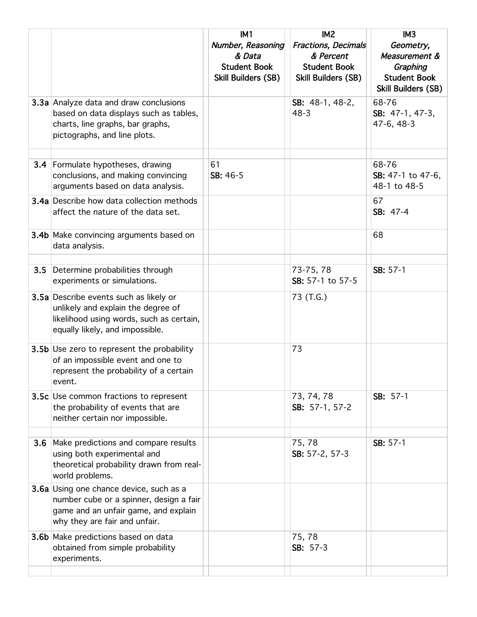|     |                                                                                                                                                                    | IM1<br>Number, Reasoning                             | IM <sub>2</sub><br>Fractions, Decimals                         | IM <sub>3</sub><br>Geometry,                                            |
|-----|--------------------------------------------------------------------------------------------------------------------------------------------------------------------|------------------------------------------------------|----------------------------------------------------------------|-------------------------------------------------------------------------|
|     |                                                                                                                                                                    | & Data<br><b>Student Book</b><br>Skill Builders (SB) | & Percent<br><b>Student Book</b><br><b>Skill Builders (SB)</b> | Measurement &<br>Graphing<br><b>Student Book</b><br>Skill Builders (SB) |
|     | 3.3a Analyze data and draw conclusions<br>based on data displays such as tables,<br>charts, line graphs, bar graphs,<br>pictographs, and line plots.               |                                                      | SB: 48-1, 48-2,<br>$48 - 3$                                    | 68-76<br>SB: 47-1, 47-3,<br>47-6, 48-3                                  |
|     | <b>3.4</b> Formulate hypotheses, drawing<br>conclusions, and making convincing<br>arguments based on data analysis.                                                | 61<br>SB: 46-5                                       |                                                                | 68-76<br>SB: 47-1 to 47-6,<br>48-1 to 48-5                              |
|     | <b>3.4a</b> Describe how data collection methods<br>affect the nature of the data set.                                                                             |                                                      |                                                                | 67<br>SB: 47-4                                                          |
|     | <b>3.4b</b> Make convincing arguments based on<br>data analysis.                                                                                                   |                                                      |                                                                | 68                                                                      |
| 3.5 | Determine probabilities through<br>experiments or simulations.                                                                                                     |                                                      | 73-75, 78<br>SB: 57-1 to 57-5                                  | SB: 57-1                                                                |
|     | 3.5a Describe events such as likely or<br>unlikely and explain the degree of<br>likelihood using words, such as certain,<br>equally likely, and impossible.        |                                                      | 73 (T.G.)                                                      |                                                                         |
|     | <b>3.5b</b> Use zero to represent the probability<br>of an impossible event and one to<br>represent the probability of a certain<br>event.                         |                                                      | 73                                                             |                                                                         |
|     | 3.5c Use common fractions to represent<br>the probability of events that are<br>neither certain nor impossible.                                                    |                                                      | 73, 74, 78<br>SB: 57-1, 57-2                                   | SB: 57-1                                                                |
| 3.6 | Make predictions and compare results<br>using both experimental and<br>theoretical probability drawn from real-<br>world problems.                                 |                                                      | 75,78<br>SB: 57-2, 57-3                                        | SB: 57-1                                                                |
|     | <b>3.6a</b> Using one chance device, such as a<br>number cube or a spinner, design a fair<br>game and an unfair game, and explain<br>why they are fair and unfair. |                                                      |                                                                |                                                                         |
|     | 3.6b Make predictions based on data<br>obtained from simple probability<br>experiments.                                                                            |                                                      | 75, 78<br>SB: 57-3                                             |                                                                         |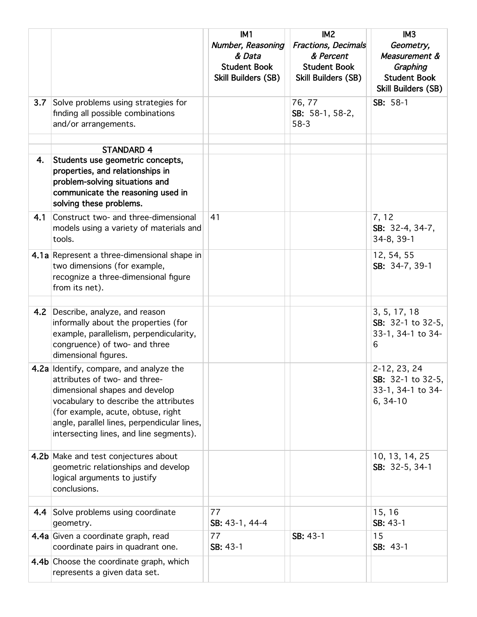|     |                                                                                                                                                                                                                                                                                     | IM <sub>1</sub>                                                                  | IM <sub>2</sub>                                                                       | IM <sub>3</sub>                                                                      |
|-----|-------------------------------------------------------------------------------------------------------------------------------------------------------------------------------------------------------------------------------------------------------------------------------------|----------------------------------------------------------------------------------|---------------------------------------------------------------------------------------|--------------------------------------------------------------------------------------|
|     |                                                                                                                                                                                                                                                                                     | Number, Reasoning<br>& Data<br><b>Student Book</b><br><b>Skill Builders (SB)</b> | <b>Fractions, Decimals</b><br>& Percent<br><b>Student Book</b><br>Skill Builders (SB) | Geometry,<br>Measurement &<br>Graphing<br><b>Student Book</b><br>Skill Builders (SB) |
| 3.7 | Solve problems using strategies for<br>finding all possible combinations<br>and/or arrangements.                                                                                                                                                                                    |                                                                                  | 76, 77<br>SB: 58-1, 58-2,<br>$58-3$                                                   | SB: 58-1                                                                             |
|     |                                                                                                                                                                                                                                                                                     |                                                                                  |                                                                                       |                                                                                      |
| 4.  | <b>STANDARD 4</b><br>Students use geometric concepts,<br>properties, and relationships in<br>problem-solving situations and<br>communicate the reasoning used in<br>solving these problems.                                                                                         |                                                                                  |                                                                                       |                                                                                      |
| 4.1 | Construct two- and three-dimensional<br>models using a variety of materials and<br>tools.                                                                                                                                                                                           | 41                                                                               |                                                                                       | 7, 12<br>SB: 32-4, 34-7,<br>34-8, 39-1                                               |
|     | 4.1a Represent a three-dimensional shape in<br>two dimensions (for example,<br>recognize a three-dimensional figure<br>from its net).                                                                                                                                               |                                                                                  |                                                                                       | 12, 54, 55<br>SB: 34-7, 39-1                                                         |
|     |                                                                                                                                                                                                                                                                                     |                                                                                  |                                                                                       |                                                                                      |
| 4.2 | Describe, analyze, and reason<br>informally about the properties (for<br>example, parallelism, perpendicularity,<br>congruence) of two- and three<br>dimensional figures.                                                                                                           |                                                                                  |                                                                                       | 3, 5, 17, 18<br>SB: 32-1 to 32-5,<br>33-1, 34-1 to 34-<br>6                          |
|     | 4.2a Identify, compare, and analyze the<br>attributes of two- and three-<br>dimensional shapes and develop<br>vocabulary to describe the attributes<br>(for example, acute, obtuse, right<br>angle, parallel lines, perpendicular lines,<br>intersecting lines, and line segments). |                                                                                  |                                                                                       | 2-12, 23, 24<br>SB: 32-1 to 32-5,<br>33-1, 34-1 to 34-<br>$6, 34-10$                 |
|     | 4.2b Make and test conjectures about<br>geometric relationships and develop<br>logical arguments to justify<br>conclusions.                                                                                                                                                         |                                                                                  |                                                                                       | 10, 13, 14, 25<br>SB: 32-5, 34-1                                                     |
|     | 4.4 Solve problems using coordinate                                                                                                                                                                                                                                                 | 77                                                                               |                                                                                       | 15, 16                                                                               |
|     | geometry.                                                                                                                                                                                                                                                                           | SB: 43-1, 44-4                                                                   |                                                                                       | SB: 43-1                                                                             |
|     | 4.4a Given a coordinate graph, read<br>coordinate pairs in quadrant one.                                                                                                                                                                                                            | 77<br>SB: 43-1                                                                   | SB: 43-1                                                                              | 15<br>SB: 43-1                                                                       |
|     | 4.4b Choose the coordinate graph, which<br>represents a given data set.                                                                                                                                                                                                             |                                                                                  |                                                                                       |                                                                                      |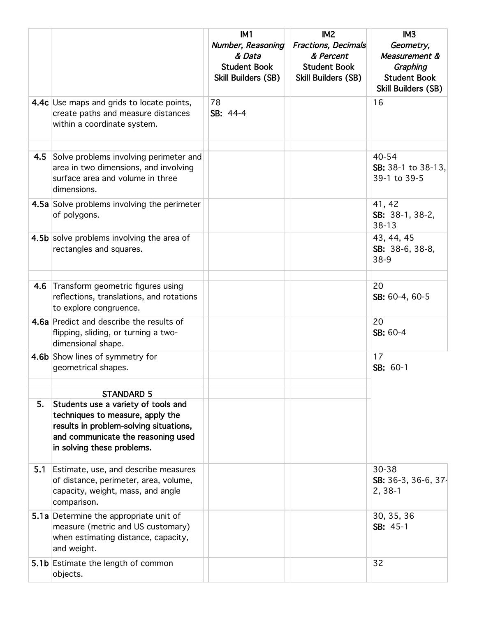|     |                                                                                                                                                                                                            | IM <sub>1</sub><br>Number, Reasoning<br>& Data<br><b>Student Book</b><br>Skill Builders (SB) | IM <sub>2</sub><br><b>Fractions, Decimals</b><br>& Percent<br><b>Student Book</b><br><b>Skill Builders (SB)</b> | IM <sub>3</sub><br>Geometry,<br>Measurement &<br>Graphing<br><b>Student Book</b><br>Skill Builders (SB) |
|-----|------------------------------------------------------------------------------------------------------------------------------------------------------------------------------------------------------------|----------------------------------------------------------------------------------------------|-----------------------------------------------------------------------------------------------------------------|---------------------------------------------------------------------------------------------------------|
|     | 4.4c Use maps and grids to locate points,<br>create paths and measure distances<br>within a coordinate system.                                                                                             | 78<br>SB: 44-4                                                                               |                                                                                                                 | 16                                                                                                      |
| 4.5 | Solve problems involving perimeter and<br>area in two dimensions, and involving<br>surface area and volume in three<br>dimensions.                                                                         |                                                                                              |                                                                                                                 | 40-54<br>SB: 38-1 to 38-13,<br>39-1 to 39-5                                                             |
|     | 4.5a Solve problems involving the perimeter<br>of polygons.                                                                                                                                                |                                                                                              |                                                                                                                 | 41, 42<br>SB: 38-1, 38-2,<br>$38 - 13$                                                                  |
|     | 4.5b solve problems involving the area of<br>rectangles and squares.                                                                                                                                       |                                                                                              |                                                                                                                 | 43, 44, 45<br>SB: 38-6, 38-8,<br>$38-9$                                                                 |
| 4.6 | Transform geometric figures using<br>reflections, translations, and rotations<br>to explore congruence.                                                                                                    |                                                                                              |                                                                                                                 | 20<br>SB: 60-4, 60-5                                                                                    |
|     | 4.6a Predict and describe the results of<br>flipping, sliding, or turning a two-<br>dimensional shape.                                                                                                     |                                                                                              |                                                                                                                 | 20<br>SB: 60-4                                                                                          |
|     | 4.6b Show lines of symmetry for<br>geometrical shapes.                                                                                                                                                     |                                                                                              |                                                                                                                 | 17<br>SB: 60-1                                                                                          |
| 5.  | <b>STANDARD 5</b><br>Students use a variety of tools and<br>techniques to measure, apply the<br>results in problem-solving situations,<br>and communicate the reasoning used<br>in solving these problems. |                                                                                              |                                                                                                                 |                                                                                                         |
| 5.1 | Estimate, use, and describe measures<br>of distance, perimeter, area, volume,<br>capacity, weight, mass, and angle<br>comparison.                                                                          |                                                                                              |                                                                                                                 | 30-38<br>SB: 36-3, 36-6, 37-<br>$2, 38-1$                                                               |
|     | 5.1a Determine the appropriate unit of<br>measure (metric and US customary)<br>when estimating distance, capacity,<br>and weight.                                                                          |                                                                                              |                                                                                                                 | 30, 35, 36<br>SB: 45-1                                                                                  |
|     | 5.1b Estimate the length of common<br>objects.                                                                                                                                                             |                                                                                              |                                                                                                                 | 32                                                                                                      |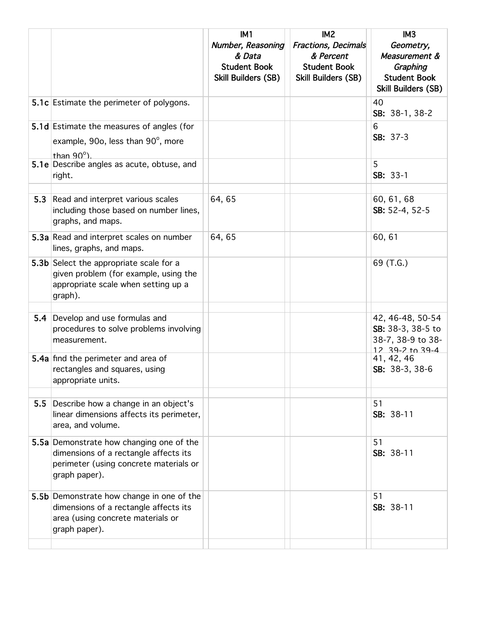|     |                                                                                                                                              | IM1<br>Number, Reasoning                   | IM <sub>2</sub><br><b>Fractions, Decimals</b>     | IM <sub>3</sub><br>Geometry,                              |
|-----|----------------------------------------------------------------------------------------------------------------------------------------------|--------------------------------------------|---------------------------------------------------|-----------------------------------------------------------|
|     |                                                                                                                                              | & Data                                     | & Percent                                         | Measurement &                                             |
|     |                                                                                                                                              | <b>Student Book</b><br>Skill Builders (SB) | <b>Student Book</b><br><b>Skill Builders (SB)</b> | Graphing<br><b>Student Book</b><br>Skill Builders (SB)    |
|     | 5.1c Estimate the perimeter of polygons.                                                                                                     |                                            |                                                   | 40<br>SB: 38-1, 38-2                                      |
|     | 5.1d Estimate the measures of angles (for                                                                                                    |                                            |                                                   | 6<br>$SB: 37-3$                                           |
|     | example, 90o, less than 90°, more<br>than $90^\circ$ ).                                                                                      |                                            |                                                   |                                                           |
|     | 5.1e Describe angles as acute, obtuse, and<br>right.                                                                                         |                                            |                                                   | 5<br>SB: 33-1                                             |
| 5.3 | Read and interpret various scales                                                                                                            | 64,65                                      |                                                   | 60, 61, 68                                                |
|     | including those based on number lines,<br>graphs, and maps.                                                                                  |                                            |                                                   | SB: 52-4, 52-5                                            |
|     | 5.3a Read and interpret scales on number<br>lines, graphs, and maps.                                                                         | 64,65                                      |                                                   | 60, 61                                                    |
|     | 5.3b Select the appropriate scale for a<br>given problem (for example, using the<br>appropriate scale when setting up a<br>graph).           |                                            |                                                   | 69 (T.G.)                                                 |
|     | 5.4 Develop and use formulas and                                                                                                             |                                            |                                                   | 42, 46-48, 50-54                                          |
|     | procedures to solve problems involving<br>measurement.                                                                                       |                                            |                                                   | SB: 38-3, 38-5 to<br>38-7, 38-9 to 38-<br>12 39-2 to 39-4 |
|     | 5.4a find the perimeter and area of<br>rectangles and squares, using<br>appropriate units.                                                   |                                            |                                                   | 41, 42, 46<br>SB: 38-3, 38-6                              |
| 5.5 | Describe how a change in an object's                                                                                                         |                                            |                                                   | 51                                                        |
|     | linear dimensions affects its perimeter,<br>area, and volume.                                                                                |                                            |                                                   | SB: 38-11                                                 |
|     | 5.5a Demonstrate how changing one of the<br>dimensions of a rectangle affects its<br>perimeter (using concrete materials or<br>graph paper). |                                            |                                                   | 51<br>SB: 38-11                                           |
|     | 5.5b Demonstrate how change in one of the<br>dimensions of a rectangle affects its<br>area (using concrete materials or<br>graph paper).     |                                            |                                                   | 51<br>SB: 38-11                                           |
|     |                                                                                                                                              |                                            |                                                   |                                                           |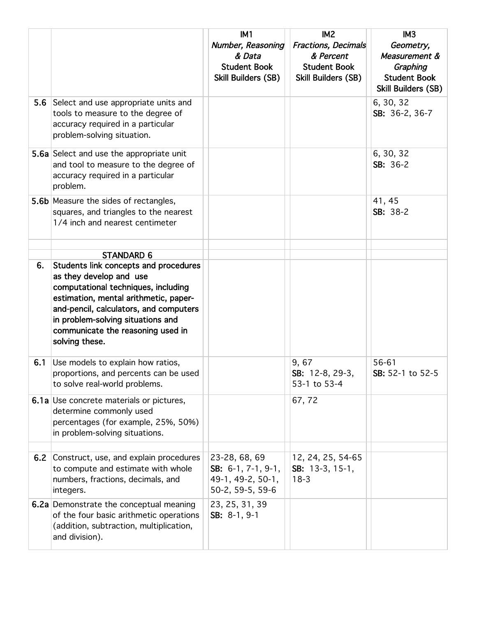|     |                                                                                                                                                                                                                                               | IM1                                                                       | IM <sub>2</sub>                                                                       | IM <sub>3</sub>                                                                      |
|-----|-----------------------------------------------------------------------------------------------------------------------------------------------------------------------------------------------------------------------------------------------|---------------------------------------------------------------------------|---------------------------------------------------------------------------------------|--------------------------------------------------------------------------------------|
|     |                                                                                                                                                                                                                                               | Number, Reasoning<br>& Data<br><b>Student Book</b><br>Skill Builders (SB) | <b>Fractions, Decimals</b><br>& Percent<br><b>Student Book</b><br>Skill Builders (SB) | Geometry,<br>Measurement &<br>Graphing<br><b>Student Book</b><br>Skill Builders (SB) |
| 5.6 | Select and use appropriate units and<br>tools to measure to the degree of<br>accuracy required in a particular<br>problem-solving situation.                                                                                                  |                                                                           |                                                                                       | 6, 30, 32<br>SB: 36-2, 36-7                                                          |
|     | 5.6a Select and use the appropriate unit<br>and tool to measure to the degree of<br>accuracy required in a particular<br>problem.                                                                                                             |                                                                           |                                                                                       | 6, 30, 32<br>SB: 36-2                                                                |
|     | 5.6b Measure the sides of rectangles,<br>squares, and triangles to the nearest<br>1/4 inch and nearest centimeter                                                                                                                             |                                                                           |                                                                                       | 41, 45<br>SB: 38-2                                                                   |
|     |                                                                                                                                                                                                                                               |                                                                           |                                                                                       |                                                                                      |
| 6.  | <b>STANDARD 6</b><br>Students link concepts and procedures                                                                                                                                                                                    |                                                                           |                                                                                       |                                                                                      |
|     | as they develop and use<br>computational techniques, including<br>estimation, mental arithmetic, paper-<br>and-pencil, calculators, and computers<br>in problem-solving situations and<br>communicate the reasoning used in<br>solving these. |                                                                           |                                                                                       |                                                                                      |
| 6.1 | Use models to explain how ratios,<br>proportions, and percents can be used<br>to solve real-world problems.                                                                                                                                   |                                                                           | 9,67<br>SB: 12-8, 29-3,<br>53-1 to 53-4                                               | 56-61<br>SB: 52-1 to 52-5                                                            |
|     | <b>6.1a</b> Use concrete materials or pictures,<br>determine commonly used<br>percentages (for example, 25%, 50%)<br>in problem-solving situations.                                                                                           |                                                                           | 67,72                                                                                 |                                                                                      |
| 6.2 | Construct, use, and explain procedures                                                                                                                                                                                                        | 23-28, 68, 69                                                             | 12, 24, 25, 54-65                                                                     |                                                                                      |
|     | to compute and estimate with whole<br>numbers, fractions, decimals, and<br>integers.                                                                                                                                                          | SB: $6-1$ , $7-1$ , $9-1$ ,<br>49-1, 49-2, 50-1,<br>50-2, 59-5, 59-6      | SB: $13-3, 15-1,$<br>$18-3$                                                           |                                                                                      |
|     | 6.2a Demonstrate the conceptual meaning<br>of the four basic arithmetic operations<br>(addition, subtraction, multiplication,<br>and division).                                                                                               | 23, 25, 31, 39<br>SB: 8-1, 9-1                                            |                                                                                       |                                                                                      |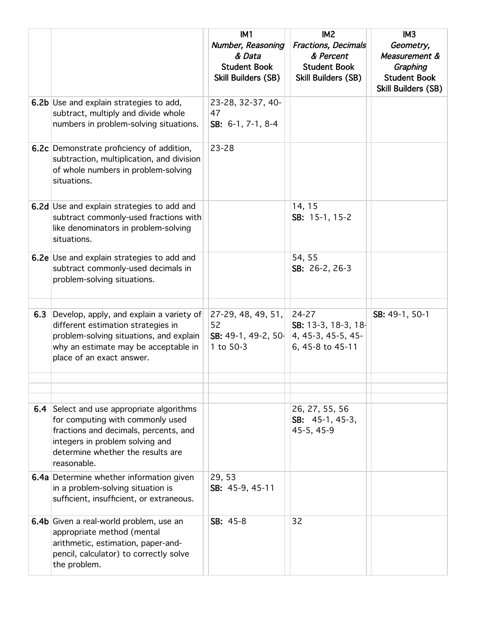|     |                                                                                                                                                                                                                      | IM1                                                                              | IM <sub>2</sub>                                                                | IM3                                                                                  |
|-----|----------------------------------------------------------------------------------------------------------------------------------------------------------------------------------------------------------------------|----------------------------------------------------------------------------------|--------------------------------------------------------------------------------|--------------------------------------------------------------------------------------|
|     |                                                                                                                                                                                                                      | Number, Reasoning<br>& Data<br><b>Student Book</b><br><b>Skill Builders (SB)</b> | Fractions, Decimals<br>& Percent<br><b>Student Book</b><br>Skill Builders (SB) | Geometry,<br>Measurement &<br>Graphing<br><b>Student Book</b><br>Skill Builders (SB) |
|     | <b>6.2b</b> Use and explain strategies to add,<br>subtract, multiply and divide whole<br>numbers in problem-solving situations.                                                                                      | 23-28, 32-37, 40-<br>47<br>SB: 6-1, 7-1, 8-4                                     |                                                                                |                                                                                      |
|     | <b>6.2c</b> Demonstrate proficiency of addition,<br>subtraction, multiplication, and division<br>of whole numbers in problem-solving<br>situations.                                                                  | $23 - 28$                                                                        |                                                                                |                                                                                      |
|     | 6.2d Use and explain strategies to add and<br>subtract commonly-used fractions with<br>like denominators in problem-solving<br>situations.                                                                           |                                                                                  | 14, 15<br>SB: 15-1, 15-2                                                       |                                                                                      |
|     | 6.2e Use and explain strategies to add and<br>subtract commonly-used decimals in<br>problem-solving situations.                                                                                                      |                                                                                  | 54, 55<br>SB: 26-2, 26-3                                                       |                                                                                      |
| 6.3 | Develop, apply, and explain a variety of<br>different estimation strategies in<br>problem-solving situations, and explain<br>why an estimate may be acceptable in<br>place of an exact answer.                       | 27-29, 48, 49, 51,<br>52<br>SB: 49-1, 49-2, 50 $\parallel$<br>1 to 50-3          | 24-27<br>SB: 13-3, 18-3, 18-<br>4, 45-3, 45-5, 45-<br>6, 45-8 to 45-11         | SB: 49-1, 50-1                                                                       |
|     |                                                                                                                                                                                                                      |                                                                                  |                                                                                |                                                                                      |
|     | <b>6.4</b> Select and use appropriate algorithms<br>for computing with commonly used<br>fractions and decimals, percents, and<br>integers in problem solving and<br>determine whether the results are<br>reasonable. |                                                                                  | 26, 27, 55, 56<br>SB: $45-1, 45-3,$<br>45-5, 45-9                              |                                                                                      |
|     | <b>6.4a</b> Determine whether information given<br>in a problem-solving situation is<br>sufficient, insufficient, or extraneous.                                                                                     | 29, 53<br>SB: 45-9, 45-11                                                        |                                                                                |                                                                                      |
|     | 6.4b Given a real-world problem, use an<br>appropriate method (mental<br>arithmetic, estimation, paper-and-<br>pencil, calculator) to correctly solve<br>the problem.                                                | SB: 45-8                                                                         | 32                                                                             |                                                                                      |